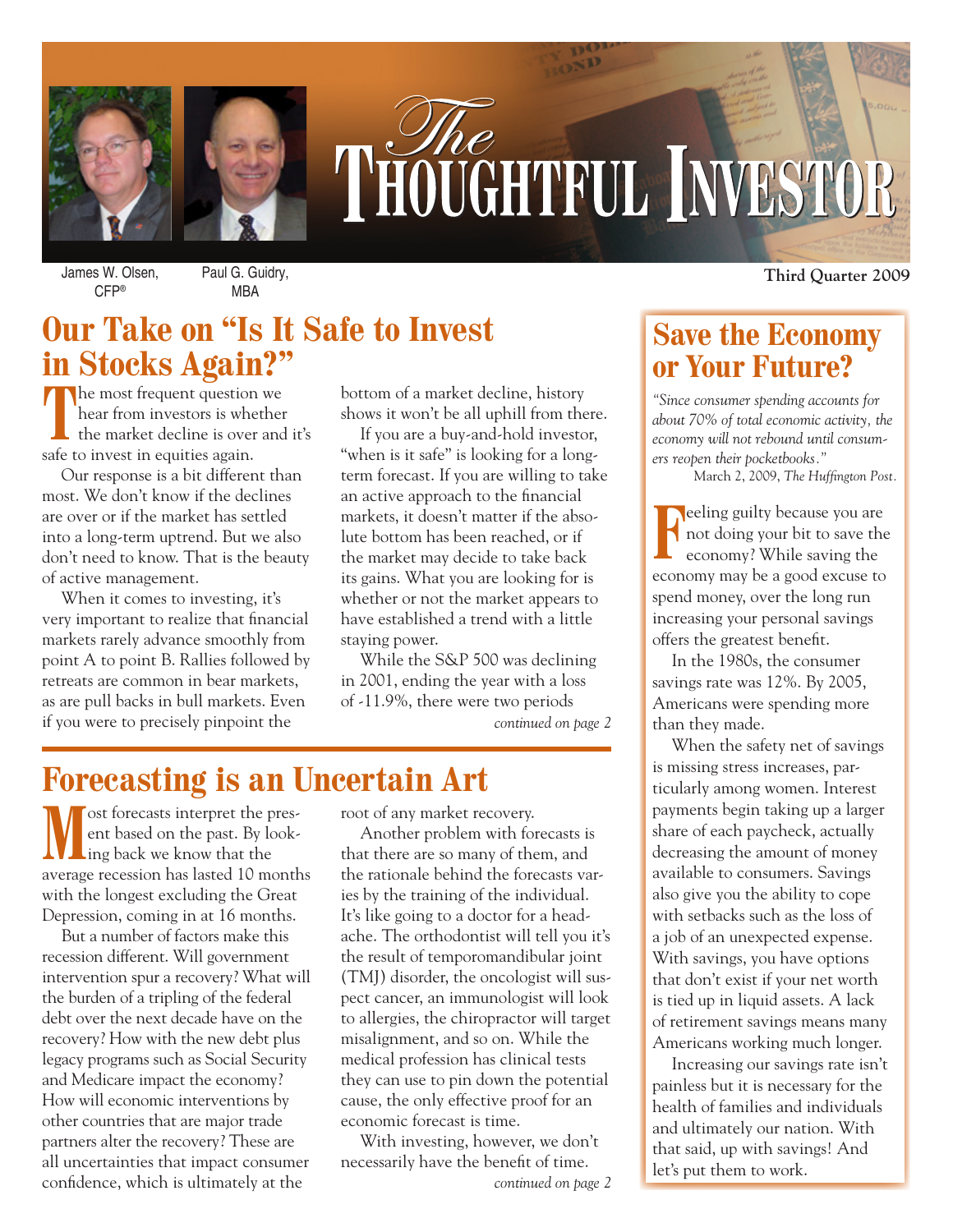

# THOUGHTFUL INVESTOR

James W. Olsen, CFP®

Paul G. Guidry, MBA

# **Our Take on "Is It Safe to Invest in Stocks Again?"**

**T**he most frequent question we hear from investors is whether the market decline is over and it's safe to invest in equities again.

Our response is a bit different than most. We don't know if the declines are over or if the market has settled into a long-term uptrend. But we also don't need to know. That is the beauty of active management.

When it comes to investing, it's very important to realize that financial markets rarely advance smoothly from point A to point B. Rallies followed by retreats are common in bear markets, as are pull backs in bull markets. Even if you were to precisely pinpoint the

bottom of a market decline, history shows it won't be all uphill from there.

If you are a buy-and-hold investor, "when is it safe" is looking for a longterm forecast. If you are willing to take an active approach to the financial markets, it doesn't matter if the absolute bottom has been reached, or if the market may decide to take back its gains. What you are looking for is whether or not the market appears to have established a trend with a little staying power.

While the S&P 500 was declining in 2001, ending the year with a loss of -11.9%, there were two periods

*continued on page 2*

# **Forecasting is an Uncertain Art**

ost forecasts interpret the present based on the past. By looking back we know that the average recession has lasted 10 months with the longest excluding the Great Depression, coming in at 16 months.

But a number of factors make this recession different. Will government intervention spur a recovery? What will the burden of a tripling of the federal debt over the next decade have on the recovery? How with the new debt plus legacy programs such as Social Security and Medicare impact the economy? How will economic interventions by other countries that are major trade partners alter the recovery? These are all uncertainties that impact consumer confidence, which is ultimately at the *continued on page 2*

root of any market recovery.

Another problem with forecasts is that there are so many of them, and the rationale behind the forecasts varies by the training of the individual. It's like going to a doctor for a headache. The orthodontist will tell you it's the result of temporomandibular joint (TMJ) disorder, the oncologist will suspect cancer, an immunologist will look to allergies, the chiropractor will target misalignment, and so on. While the medical profession has clinical tests they can use to pin down the potential cause, the only effective proof for an economic forecast is time.

With investing, however, we don't necessarily have the benefit of time.

**Third Quarter 2009**

# **Save the Economy or Your Future?**

*"Since consumer spending accounts for about 70% of total economic activity, the economy will not rebound until consumers reopen their pocketbooks."*

March 2, 2009, *The Huffington Post.*

**Feeling guilty because you are**<br>not doing your bit to save the<br>economy? While saving the not doing your bit to save the economy? While saving the economy may be a good excuse to spend money, over the long run increasing your personal savings offers the greatest benefit.

In the 1980s, the consumer savings rate was 12%. By 2005, Americans were spending more than they made.

When the safety net of savings is missing stress increases, particularly among women. Interest payments begin taking up a larger share of each paycheck, actually decreasing the amount of money available to consumers. Savings also give you the ability to cope with setbacks such as the loss of a job of an unexpected expense. With savings, you have options that don't exist if your net worth is tied up in liquid assets. A lack of retirement savings means many Americans working much longer.

Increasing our savings rate isn't painless but it is necessary for the health of families and individuals and ultimately our nation. With that said, up with savings! And let's put them to work.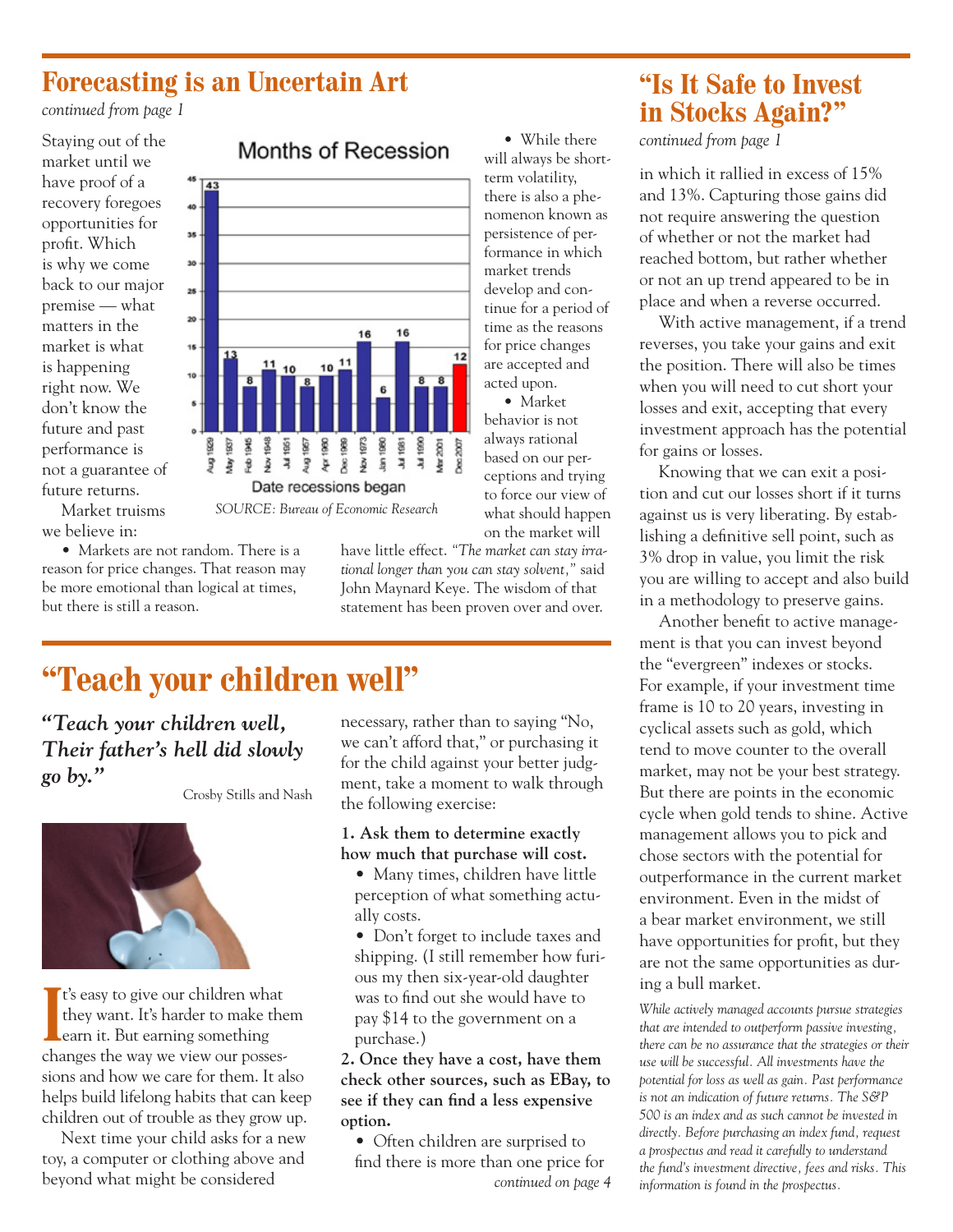## **Forecasting is an Uncertain Art**

 $\overline{143}$ 40 -35 -30 - $25 -$ 20

 $15 -$ 

10

*continued from page 1*

Staying out of the market until we have proof of a recovery foregoes opportunities for profit. Which is why we come back to our major premise — what matters in the market is what is happening right now. We don't know the future and past performance is not a guarantee of future returns.

## Market truisms we believe in:

• Markets are not random. There is a reason for price changes. That reason may be more emotional than logical at times, but there is still a reason.

## Months of Recession

16

Jul 1990 Mar 2001

16

 $10\frac{11}{11}$ 

will always be shortterm volatility, there is also a phenomenon known as persistence of performance in which market trends develop and continue for a period of time as the reasons for price changes are accepted and acted upon. • Market

• While there

behavior is not always rational based on our perceptions and trying to force our view of what should happen on the market will

*SOURCE: Bureau of Economic Research*

have little effect. *"The market can stay irrational longer than you can stay solvent,"* said John Maynard Keye. The wisdom of that statement has been proven over and over.

 $12$ 

# **"Teach your children well"**

*"Teach your children well, Their father's hell did slowly go by."*

Crosby Stills and Nash



**I** t's easy to give our children what they want. It's harder to make them earn it. But earning something changes the way we view our possessions and how we care for them. It also helps build lifelong habits that can keep children out of trouble as they grow up.

Next time your child asks for a new toy, a computer or clothing above and beyond what might be considered

necessary, rather than to saying "No, we can't afford that," or purchasing it for the child against your better judgment, take a moment to walk through the following exercise:

#### **1. Ask them to determine exactly how much that purchase will cost.**

- Many times, children have little perception of what something actually costs.
- Don't forget to include taxes and shipping. (I still remember how furious my then six-year-old daughter was to find out she would have to pay \$14 to the government on a purchase.)

**2. Once they have a cost, have them check other sources, such as EBay, to see if they can find a less expensive option.**

• Often children are surprised to find there is more than one price for *continued on page 4*

## **"Is It Safe to Invest in Stocks Again?"**

*continued from page 1*

in which it rallied in excess of 15% and 13%. Capturing those gains did not require answering the question of whether or not the market had reached bottom, but rather whether or not an up trend appeared to be in place and when a reverse occurred.

With active management, if a trend reverses, you take your gains and exit the position. There will also be times when you will need to cut short your losses and exit, accepting that every investment approach has the potential for gains or losses.

Knowing that we can exit a position and cut our losses short if it turns against us is very liberating. By establishing a definitive sell point, such as 3% drop in value, you limit the risk you are willing to accept and also build in a methodology to preserve gains.

Another benefit to active management is that you can invest beyond the "evergreen" indexes or stocks. For example, if your investment time frame is 10 to 20 years, investing in cyclical assets such as gold, which tend to move counter to the overall market, may not be your best strategy. But there are points in the economic cycle when gold tends to shine. Active management allows you to pick and chose sectors with the potential for outperformance in the current market environment. Even in the midst of a bear market environment, we still have opportunities for profit, but they are not the same opportunities as during a bull market.

*While actively managed accounts pursue strategies that are intended to outperform passive investing, there can be no assurance that the strategies or their use will be successful. All investments have the potential for loss as well as gain. Past performance is not an indication of future returns. The S&P 500 is an index and as such cannot be invested in directly. Before purchasing an index fund, request a prospectus and read it carefully to understand the fund's investment directive, fees and risks. This information is found in the prospectus.*

Pug 1929<br>May 1937 g 948 š Aug 1967<br>Apr 1960<br>Dec 1969 Nov 1973 Jan 1980 Jul 1981  $\frac{1}{2}$ Ę Date recessions began

 $\frac{11}{10}$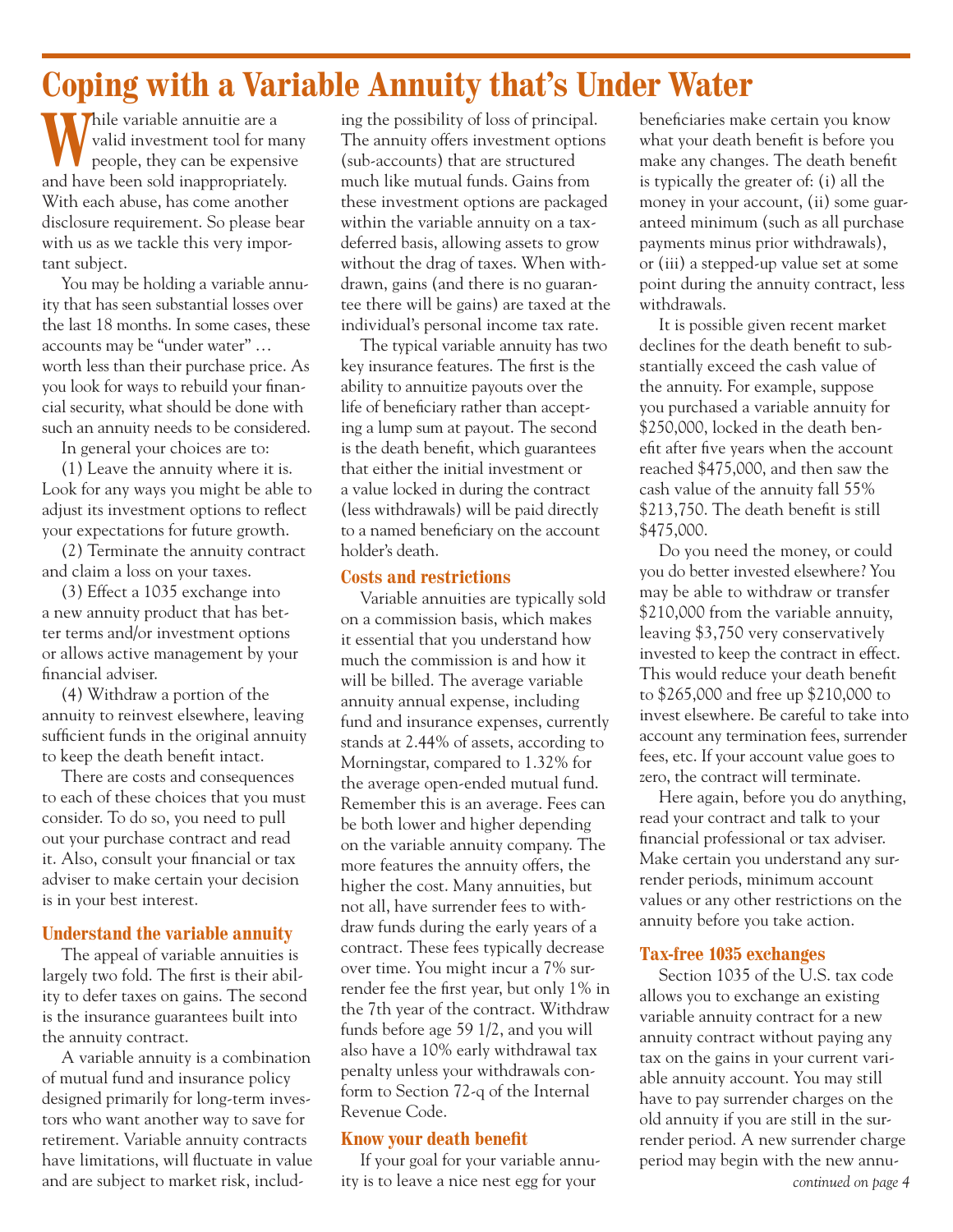# **Coping with a Variable Annuity that's Under Water**

**W**hile variable annuitie are a valid investment tool for many people, they can be expensive and have been sold inappropriately. With each abuse, has come another disclosure requirement. So please bear with us as we tackle this very important subject.

You may be holding a variable annuity that has seen substantial losses over the last 18 months. In some cases, these accounts may be "under water" … worth less than their purchase price. As you look for ways to rebuild your financial security, what should be done with such an annuity needs to be considered.

In general your choices are to:

(1) Leave the annuity where it is. Look for any ways you might be able to adjust its investment options to reflect your expectations for future growth.

(2) Terminate the annuity contract and claim a loss on your taxes.

(3) Effect a 1035 exchange into a new annuity product that has better terms and/or investment options or allows active management by your financial adviser.

(4) Withdraw a portion of the annuity to reinvest elsewhere, leaving sufficient funds in the original annuity to keep the death benefit intact.

There are costs and consequences to each of these choices that you must consider. To do so, you need to pull out your purchase contract and read it. Also, consult your financial or tax adviser to make certain your decision is in your best interest.

## **Understand the variable annuity**

The appeal of variable annuities is largely two fold. The first is their ability to defer taxes on gains. The second is the insurance guarantees built into the annuity contract.

A variable annuity is a combination of mutual fund and insurance policy designed primarily for long-term investors who want another way to save for retirement. Variable annuity contracts have limitations, will fluctuate in value and are subject to market risk, includ-

ing the possibility of loss of principal. The annuity offers investment options (sub-accounts) that are structured much like mutual funds. Gains from these investment options are packaged within the variable annuity on a taxdeferred basis, allowing assets to grow without the drag of taxes. When withdrawn, gains (and there is no guarantee there will be gains) are taxed at the individual's personal income tax rate.

The typical variable annuity has two key insurance features. The first is the ability to annuitize payouts over the life of beneficiary rather than accepting a lump sum at payout. The second is the death benefit, which guarantees that either the initial investment or a value locked in during the contract (less withdrawals) will be paid directly to a named beneficiary on the account holder's death.

#### **Costs and restrictions**

Variable annuities are typically sold on a commission basis, which makes it essential that you understand how much the commission is and how it will be billed. The average variable annuity annual expense, including fund and insurance expenses, currently stands at 2.44% of assets, according to Morningstar, compared to 1.32% for the average open-ended mutual fund. Remember this is an average. Fees can be both lower and higher depending on the variable annuity company. The more features the annuity offers, the higher the cost. Many annuities, but not all, have surrender fees to withdraw funds during the early years of a contract. These fees typically decrease over time. You might incur a 7% surrender fee the first year, but only 1% in the 7th year of the contract. Withdraw funds before age 59 1/2, and you will also have a 10% early withdrawal tax penalty unless your withdrawals conform to Section 72-q of the Internal Revenue Code.

## **Know your death benefit**

If your goal for your variable annuity is to leave a nice nest egg for your

beneficiaries make certain you know what your death benefit is before you make any changes. The death benefit is typically the greater of: (i) all the money in your account, (ii) some guaranteed minimum (such as all purchase payments minus prior withdrawals), or (iii) a stepped-up value set at some point during the annuity contract, less withdrawals.

It is possible given recent market declines for the death benefit to substantially exceed the cash value of the annuity. For example, suppose you purchased a variable annuity for \$250,000, locked in the death benefit after five years when the account reached \$475,000, and then saw the cash value of the annuity fall 55% \$213,750. The death benefit is still \$475,000.

Do you need the money, or could you do better invested elsewhere? You may be able to withdraw or transfer \$210,000 from the variable annuity, leaving \$3,750 very conservatively invested to keep the contract in effect. This would reduce your death benefit to \$265,000 and free up \$210,000 to invest elsewhere. Be careful to take into account any termination fees, surrender fees, etc. If your account value goes to zero, the contract will terminate.

Here again, before you do anything, read your contract and talk to your financial professional or tax adviser. Make certain you understand any surrender periods, minimum account values or any other restrictions on the annuity before you take action.

## **Tax-free 1035 exchanges**

Section 1035 of the U.S. tax code allows you to exchange an existing variable annuity contract for a new annuity contract without paying any tax on the gains in your current variable annuity account. You may still have to pay surrender charges on the old annuity if you are still in the surrender period. A new surrender charge period may begin with the new annu-